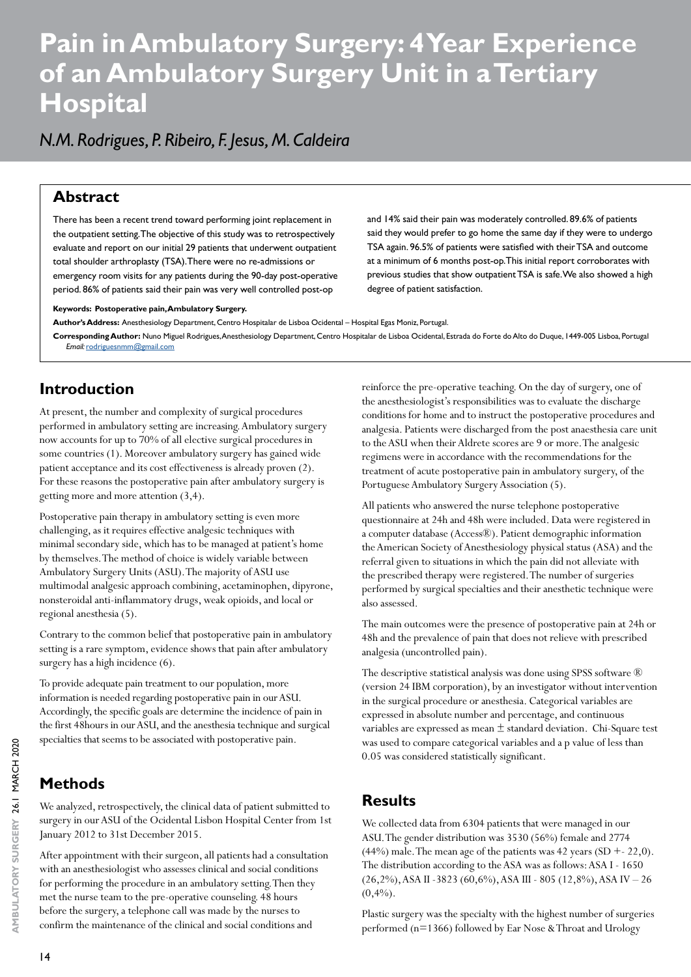# **Pain in Ambulatory Surgery: 4 Year Experience of an Ambulatory Surgery Unit in a Tertiary Hospital**

## *N.M. Rodrigues, P. Ribeiro, F. Jesus, M. Caldeira*

#### **Abstract**

There has been a recent trend toward performing joint replacement in the outpatient setting. The objective of this study was to retrospectively evaluate and report on our initial 29 patients that underwent outpatient total shoulder arthroplasty (TSA). There were no re-admissions or emergency room visits for any patients during the 90-day post-operative period. 86% of patients said their pain was very well controlled post-op

and 14% said their pain was moderately controlled. 89.6% of patients said they would prefer to go home the same day if they were to undergo TSA again. 96.5% of patients were satisfied with their TSA and outcome at a minimum of 6 months post-op. This initial report corroborates with previous studies that show outpatient TSA is safe. We also showed a high degree of patient satisfaction.

#### **Keywords: Postoperative pain, Ambulatory Surgery.**

**Author's Address:** Anesthesiology Department, Centro Hospitalar de Lisboa Ocidental – Hospital Egas Moniz, Portugal.

**Corresponding Author:** Nuno Miguel Rodrigues, Anesthesiology Department, Centro Hospitalar de Lisboa Ocidental, Estrada do Forte do Alto do Duque, 1449-005 Lisboa, Portugal *Email:* [rodriguesnmm@gmail.com](mailto:rodriguesnmm@gmail.com)

### **Introduction**

At present, the number and complexity of surgical procedures performed in ambulatory setting are increasing. Ambulatory surgery now accounts for up to 70% of all elective surgical procedures in some countries (1). Moreover ambulatory surgery has gained wide patient acceptance and its cost effectiveness is already proven (2). For these reasons the postoperative pain after ambulatory surgery is getting more and more attention (3,4).

Postoperative pain therapy in ambulatory setting is even more challenging, as it requires effective analgesic techniques with minimal secondary side, which has to be managed at patient's home by themselves. The method of choice is widely variable between Ambulatory Surgery Units (ASU). The majority of ASU use multimodal analgesic approach combining, acetaminophen, dipyrone, nonsteroidal anti-inflammatory drugs, weak opioids, and local or regional anesthesia (5).

Contrary to the common belief that postoperative pain in ambulatory setting is a rare symptom, evidence shows that pain after ambulatory surgery has a high incidence (6).

To provide adequate pain treatment to our population, more information is needed regarding postoperative pain in our ASU. Accordingly, the specific goals are determine the incidence of pain in the first 48hours in our ASU, and the anesthesia technique and surgical specialties that seems to be associated with postoperative pain.

### **Methods**

We analyzed, retrospectively, the clinical data of patient submitted to surgery in our ASU of the Ocidental Lisbon Hospital Center from 1st January 2012 to 31st December 2015.

After appointment with their surgeon, all patients had a consultation with an anesthesiologist who assesses clinical and social conditions for performing the procedure in an ambulatory setting. Then they met the nurse team to the pre-operative counseling. 48 hours before the surgery, a telephone call was made by the nurses to confirm the maintenance of the clinical and social conditions and

reinforce the pre-operative teaching. On the day of surgery, one of the anesthesiologist's responsibilities was to evaluate the discharge conditions for home and to instruct the postoperative procedures and analgesia. Patients were discharged from the post anaesthesia care unit to the ASU when their Aldrete scores are 9 or more. The analgesic regimens were in accordance with the recommendations for the treatment of acute postoperative pain in ambulatory surgery, of the Portuguese Ambulatory Surgery Association (5).

All patients who answered the nurse telephone postoperative questionnaire at 24h and 48h were included. Data were registered in a computer database (Access®). Patient demographic information the American Society of Anesthesiology physical status (ASA) and the referral given to situations in which the pain did not alleviate with the prescribed therapy were registered. The number of surgeries performed by surgical specialties and their anesthetic technique were also assessed.

The main outcomes were the presence of postoperative pain at 24h or 48h and the prevalence of pain that does not relieve with prescribed analgesia (uncontrolled pain).

The descriptive statistical analysis was done using SPSS software ® (version 24 IBM corporation), by an investigator without intervention in the surgical procedure or anesthesia. Categorical variables are expressed in absolute number and percentage, and continuous variables are expressed as mean ± standard deviation. Chi-Square test was used to compare categorical variables and a p value of less than 0.05 was considered statistically significant.

#### **Results**

We collected data from 6304 patients that were managed in our ASU. The gender distribution was 3530 (56%) female and 2774  $(44%)$  male. The mean age of the patients was 42 years (SD + - 22,0). The distribution according to the ASA was as follows: ASA I - 1650 (26,2%), ASA II -3823 (60,6%), ASA III - 805 (12,8%), ASA IV – 26  $(0,4%).$ 

Plastic surgery was the specialty with the highest number of surgeries performed (n=1366) followed by Ear Nose & Throat and Urology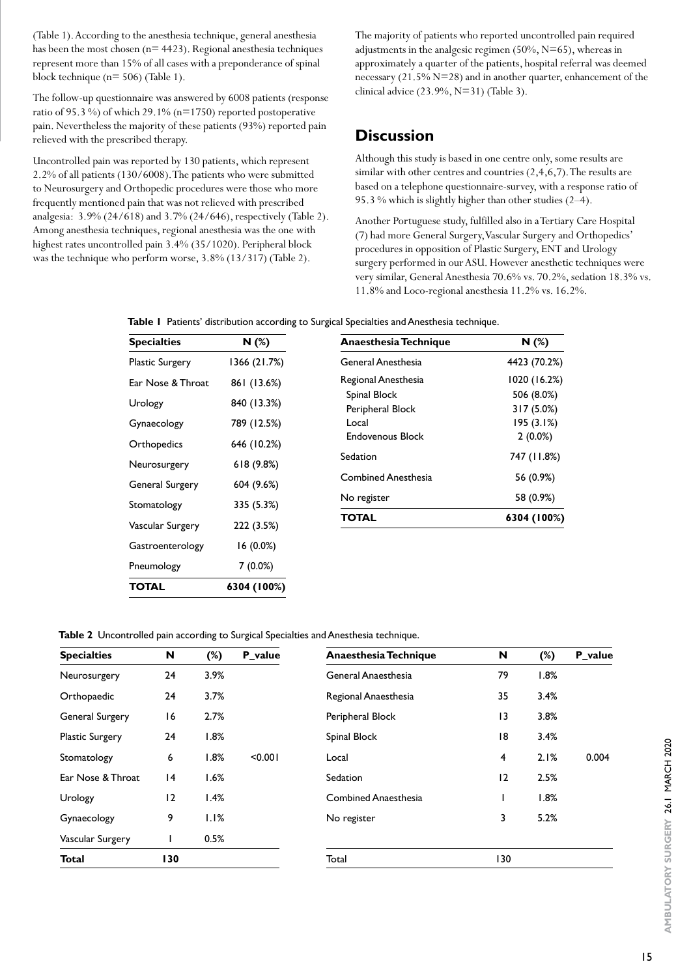(Table 1). According to the anesthesia technique, general anesthesia has been the most chosen ( $n= 4423$ ). Regional anesthesia techniques represent more than 15% of all cases with a preponderance of spinal block technique (n= 506) (Table 1).

The follow-up questionnaire was answered by 6008 patients (response ratio of 95.3 %) of which 29.1% (n=1750) reported postoperative pain. Nevertheless the majority of these patients (93%) reported pain relieved with the prescribed therapy.

Uncontrolled pain was reported by 130 patients, which represent 2.2% of all patients (130/6008). The patients who were submitted to Neurosurgery and Orthopedic procedures were those who more frequently mentioned pain that was not relieved with prescribed analgesia: 3.9% (24/618) and 3.7% (24/646), respectively (Table 2). Among anesthesia techniques, regional anesthesia was the one with highest rates uncontrolled pain 3.4% (35/1020). Peripheral block was the technique who perform worse, 3.8% (13/317) (Table 2).

The majority of patients who reported uncontrolled pain required adjustments in the analgesic regimen (50%, N=65), whereas in approximately a quarter of the patients, hospital referral was deemed necessary (21.5% N=28) and in another quarter, enhancement of the clinical advice (23.9%, N=31) (Table 3).

#### **Discussion**

Although this study is based in one centre only, some results are similar with other centres and countries (2,4,6,7). The results are based on a telephone questionnaire-survey, with a response ratio of 95.3 % which is slightly higher than other studies (2–4).

Another Portuguese study, fulfilled also in a Tertiary Care Hospital (7) had more General Surgery, Vascular Surgery and Orthopedics' procedures in opposition of Plastic Surgery, ENT and Urology surgery performed in our ASU. However anesthetic techniques were very similar, General Anesthesia 70.6% vs. 70.2%, sedation 18.3% vs. 11.8% and Loco-regional anesthesia 11.2% vs. 16.2%.

**Table 1** Patients' distribution according to Surgical Specialties and Anesthesia technique.

| <b>Specialties</b>     | N (%)        | Anaesthesia Technique            | N(%)                                   |  |  |
|------------------------|--------------|----------------------------------|----------------------------------------|--|--|
| <b>Plastic Surgery</b> | 1366 (21.7%) | General Anesthesia               | 4423 (70.2%)                           |  |  |
| Ear Nose & Throat      | 861 (13.6%)  | Regional Anesthesia              | 1020 (16.2%)                           |  |  |
| Urology                | 840 (13.3%)  | Spinal Block<br>Peripheral Block | 506 (8.0%)<br>317 (5.0%)               |  |  |
| Gynaecology            | 789 (12.5%)  | Local                            | 195 (3.1%)                             |  |  |
| Orthopedics            | 646 (10.2%)  | <b>Endovenous Block</b>          | $2(0.0\%)$<br>747 (11.8%)<br>56 (0.9%) |  |  |
| Neurosurgery           | 618(9.8%)    | Sedation                         |                                        |  |  |
| General Surgery        | 604 (9.6%)   | <b>Combined Anesthesia</b>       |                                        |  |  |
| Stomatology            | 335 (5.3%)   | No register                      | 58 (0.9%)                              |  |  |
| Vascular Surgery       | 222 (3.5%)   | TOTAL                            | 6304 (100%)                            |  |  |
| Gastroenterology       | $16(0.0\%)$  |                                  |                                        |  |  |
| Pneumology             | $7(0.0\%)$   |                                  |                                        |  |  |
| TOTAL                  | 6304 (100%)  |                                  |                                        |  |  |

**Table 2** Uncontrolled pain according to Surgical Specialties and Anesthesia technique.

| <b>Specialties</b>     | N   | $(\%)$ | P value | Anaesthesia Technique       | N              | $(\%)$ | P_value |
|------------------------|-----|--------|---------|-----------------------------|----------------|--------|---------|
| Neurosurgery           | 24  | 3.9%   |         | General Anaesthesia         | 79             | 1.8%   |         |
| Orthopaedic            | 24  | 3.7%   |         | Regional Anaesthesia        | 35             | 3.4%   |         |
| General Surgery        | 16  | 2.7%   |         | Peripheral Block            | 13             | 3.8%   |         |
| <b>Plastic Surgery</b> | 24  | 1.8%   |         | Spinal Block                | 18             | 3.4%   |         |
| Stomatology            | 6   | 1.8%   | < 0.001 | Local                       | $\overline{4}$ | 2.1%   | 0.004   |
| Ear Nose & Throat      | 4   | 1.6%   |         | Sedation                    | 2              | 2.5%   |         |
| Urology                | 12  | 1.4%   |         | <b>Combined Anaesthesia</b> |                | 1.8%   |         |
| Gynaecology            | 9   | 1.1%   |         | No register                 | 3              | 5.2%   |         |
| Vascular Surgery       |     | 0.5%   |         |                             |                |        |         |
| <b>Total</b>           | 130 |        |         | Total                       | 130            |        |         |